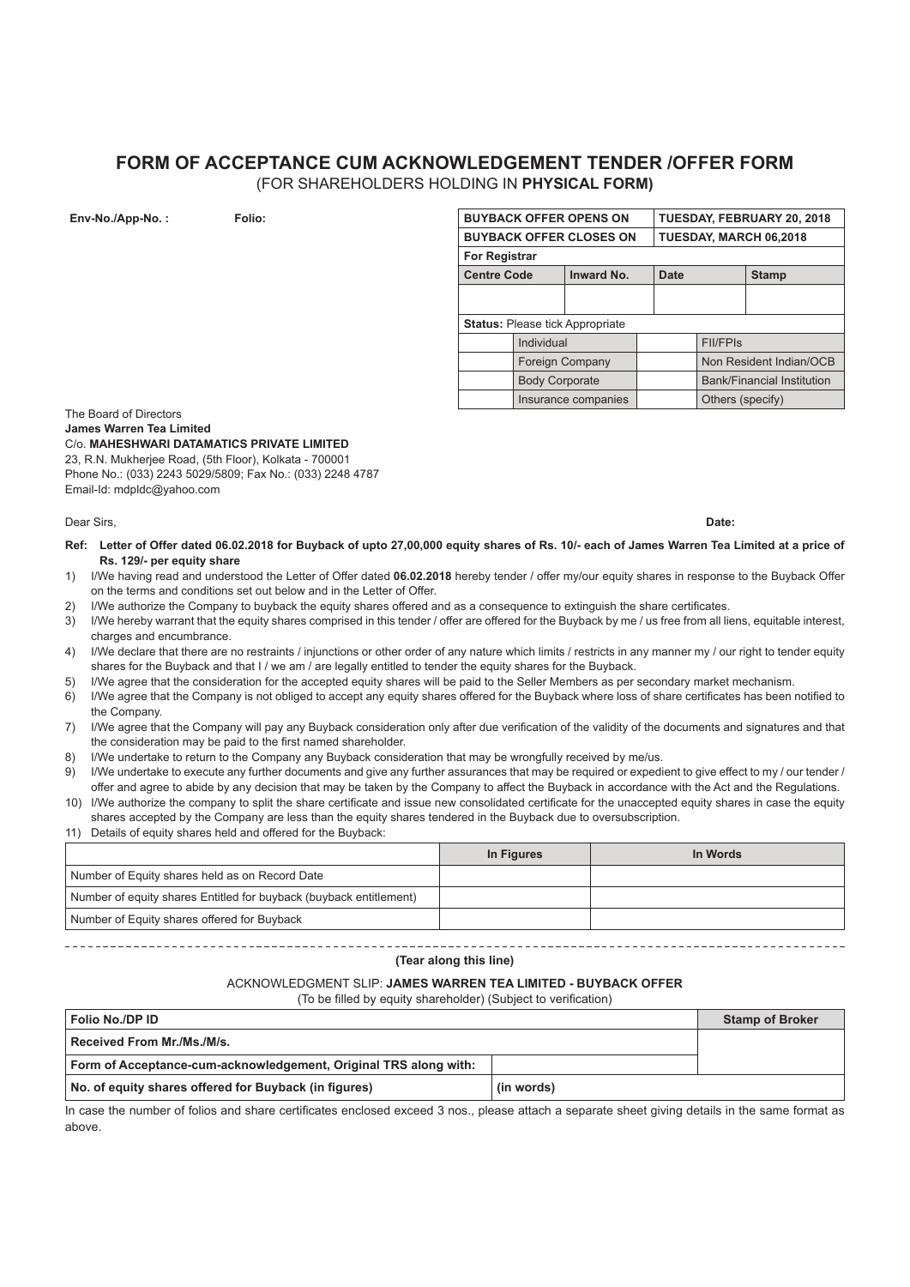# **FORM OF ACCEPTANCE CUM ACKNOWLEDGEMENT TENDER /OFFER FORM**

(FOR SHAREHOLDERS HOLDING IN **PHYSICAL FORM)**

| Env-No./App-No.: | Folio: | <b>BUYBACK OFFER OPENS ON</b><br><b>BUYBACK OFFER CLOSES ON</b> |                       | TUESDAY, FEBRUARY 20, 2018 |                        |                  |                                   |
|------------------|--------|-----------------------------------------------------------------|-----------------------|----------------------------|------------------------|------------------|-----------------------------------|
|                  |        |                                                                 |                       |                            | TUESDAY, MARCH 06,2018 |                  |                                   |
|                  |        | <b>For Registrar</b>                                            |                       |                            |                        |                  |                                   |
|                  |        | <b>Centre Code</b>                                              |                       | <b>Inward No.</b>          | <b>Date</b>            |                  | <b>Stamp</b>                      |
|                  |        |                                                                 |                       |                            |                        |                  |                                   |
|                  |        |                                                                 |                       |                            |                        |                  |                                   |
|                  |        | <b>Status: Please tick Appropriate</b>                          |                       |                            |                        |                  |                                   |
|                  |        |                                                                 | Individual            |                            |                        | <b>FII/FPIS</b>  |                                   |
|                  |        |                                                                 | Foreign Company       |                            |                        |                  | Non Resident Indian/OCB           |
|                  |        |                                                                 | <b>Body Corporate</b> |                            |                        |                  | <b>Bank/Financial Institution</b> |
|                  |        |                                                                 |                       | Insurance companies        |                        | Others (specify) |                                   |

The Board of Directors **James Warren Tea Limited** C/o. **MAHESHWARI DATAMATICS PRIVATE LIMITED** 23, R.N. Mukherjee Road, (5th Floor), Kolkata - 700001 Phone No.: (033) 2243 5029/5809; Fax No.: (033) 2248 4787 Email-Id: mdpldc@yahoo.com

Dear Sirs, **Date:**

- **Ref: Letter of Offer dated 06.02.2018 for Buyback of upto 27,00,000 equity shares of Rs. 10/- each of James Warren Tea Limited at a price of Rs. 129/- per equity share**
- 1) I/We having read and understood the Letter of Offer dated **06.02.2018** hereby tender / offer my/our equity shares in response to the Buyback Offer on the terms and conditions set out below and in the Letter of Offer.
- 2) I/We authorize the Company to buyback the equity shares offered and as a consequence to extinguish the share certificates.
- 3) I/We hereby warrant that the equity shares comprised in this tender / offer are offered for the Buyback by me / us free from all liens, equitable interest, charges and encumbrance.
- 4) I/We declare that there are no restraints / injunctions or other order of any nature which limits / restricts in any manner my / our right to tender equity shares for the Buyback and that I / we am / are legally entitled to tender the equity shares for the Buyback.
- 5) I/We agree that the consideration for the accepted equity shares will be paid to the Seller Members as per secondary market mechanism.
- 6) I/We agree that the Company is not obliged to accept any equity shares offered for the Buyback where loss of share certificates has been notified to the Company.
- 7) I/We agree that the Company will pay any Buyback consideration only after due verification of the validity of the documents and signatures and that the consideration may be paid to the first named shareholder.
- 8) I/We undertake to return to the Company any Buyback consideration that may be wrongfully received by me/us.
- 9) I/We undertake to execute any further documents and give any further assurances that may be required or expedient to give effect to my / our tender / offer and agree to abide by any decision that may be taken by the Company to affect the Buyback in accordance with the Act and the Regulations.
- 10) I/We authorize the company to split the share certificate and issue new consolidated certificate for the unaccepted equity shares in case the equity shares accepted by the Company are less than the equity shares tendered in the Buyback due to oversubscription.
- 11) Details of equity shares held and offered for the Buyback:

|                                                                    | In Figures | In Words |
|--------------------------------------------------------------------|------------|----------|
| Number of Equity shares held as on Record Date                     |            |          |
| Number of equity shares Entitled for buyback (buyback entitlement) |            |          |
| Number of Equity shares offered for Buyback                        |            |          |

### **(Tear along this line)**

#### ACKNOWLEDGMENT SLIP: **JAMES WARREN TEA LIMITED - BUYBACK OFFER**

(To be filled by equity shareholder) (Subject to verification)

| Folio No./DP ID                                                  |            | <b>Stamp of Broker</b> |
|------------------------------------------------------------------|------------|------------------------|
| Received From Mr./Ms./M/s.                                       |            |                        |
| Form of Acceptance-cum-acknowledgement, Original TRS along with: |            |                        |
| No. of equity shares offered for Buyback (in figures)            | (in words) |                        |

In case the number of folios and share certificates enclosed exceed 3 nos., please attach a separate sheet giving details in the same format as above.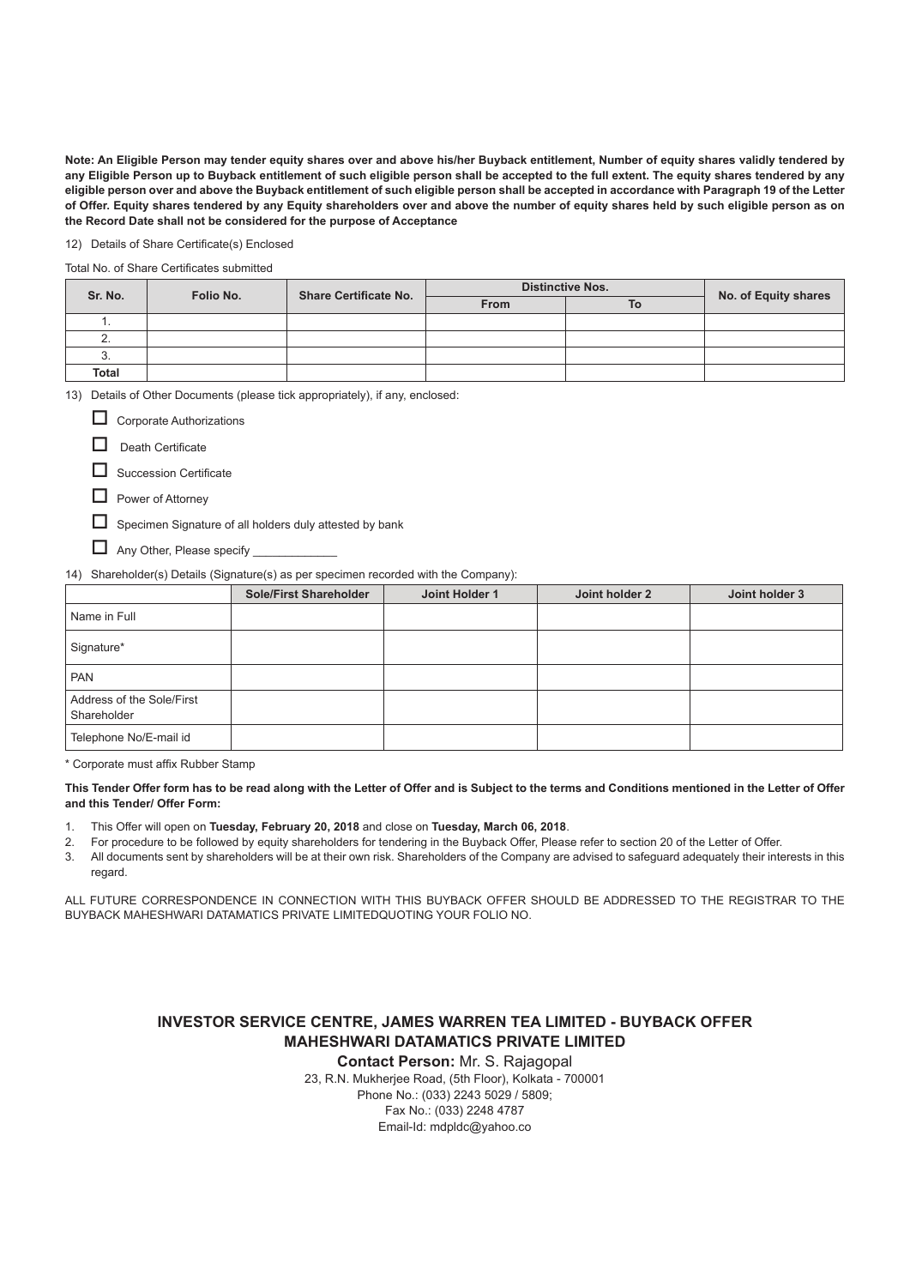**Note: An Eligible Person may tender equity shares over and above his/her Buyback entitlement, Number of equity shares validly tendered by any Eligible Person up to Buyback entitlement of such eligible person shall be accepted to the full extent. The equity shares tendered by any eligible person over and above the Buyback entitlement of such eligible person shall be accepted in accordance with Paragraph 19 of the Letter of Offer. Equity shares tendered by any Equity shareholders over and above the number of equity shares held by such eligible person as on the Record Date shall not be considered for the purpose of Acceptance**

12) Details of Share Certificate(s) Enclosed

Total No. of Share Certificates submitted

| Sr. No.      | Folio No. | <b>Share Certificate No.</b> | <b>Distinctive Nos.</b> |    |                      |
|--------------|-----------|------------------------------|-------------------------|----|----------------------|
|              |           |                              | <b>From</b>             | To | No. of Equity shares |
| . .          |           |                              |                         |    |                      |
|              |           |                              |                         |    |                      |
| J.           |           |                              |                         |    |                      |
| <b>Total</b> |           |                              |                         |    |                      |

13) Details of Other Documents (please tick appropriately), if any, enclosed:

Corporate Authorizations

Death Certificate

 $\Box$  Succession Certificate

 $\Box$  Power of Attorney

Specimen Signature of all holders duly attested by bank

 $\Box$  Any Other, Please specify  $\Box$ 

14) Shareholder(s) Details (Signature(s) as per specimen recorded with the Company):

|                                          | <b>Sole/First Shareholder</b> | Joint Holder 1 | Joint holder 2 | Joint holder 3 |
|------------------------------------------|-------------------------------|----------------|----------------|----------------|
| Name in Full                             |                               |                |                |                |
| Signature*                               |                               |                |                |                |
| <b>PAN</b>                               |                               |                |                |                |
| Address of the Sole/First<br>Shareholder |                               |                |                |                |
| Telephone No/E-mail id                   |                               |                |                |                |

\* Corporate must affix Rubber Stamp

**This Tender Offer form has to be read along with the Letter of Offer and is Subject to the terms and Conditions mentioned in the Letter of Offer and this Tender/ Offer Form:**

- 1. This Offer will open on **Tuesday, February 20, 2018** and close on **Tuesday, March 06, 2018**.
- 2. For procedure to be followed by equity shareholders for tendering in the Buyback Offer, Please refer to section 20 of the Letter of Offer.
- 3. All documents sent by shareholders will be at their own risk. Shareholders of the Company are advised to safeguard adequately their interests in this regard

ALL FUTURE CORRESPONDENCE IN CONNECTION WITH THIS BUYBACK OFFER SHOULD BE ADDRESSED TO THE REGISTRAR TO THE BUYBACK MAHESHWARI DATAMATICS PRIVATE LIMITEDQUOTING YOUR FOLIO NO.

# **INVESTOR SERVICE CENTRE, JAMES WARREN TEA LIMITED - BUYBACK OFFER MAHESHWARI DATAMATICS PRIVATE LIMITED**

**Contact Person:** Mr. S. Rajagopal

23, R.N. Mukherjee Road, (5th Floor), Kolkata - 700001 Phone No.: (033) 2243 5029 / 5809; Fax No.: (033) 2248 4787 Email-Id: mdpldc@yahoo.co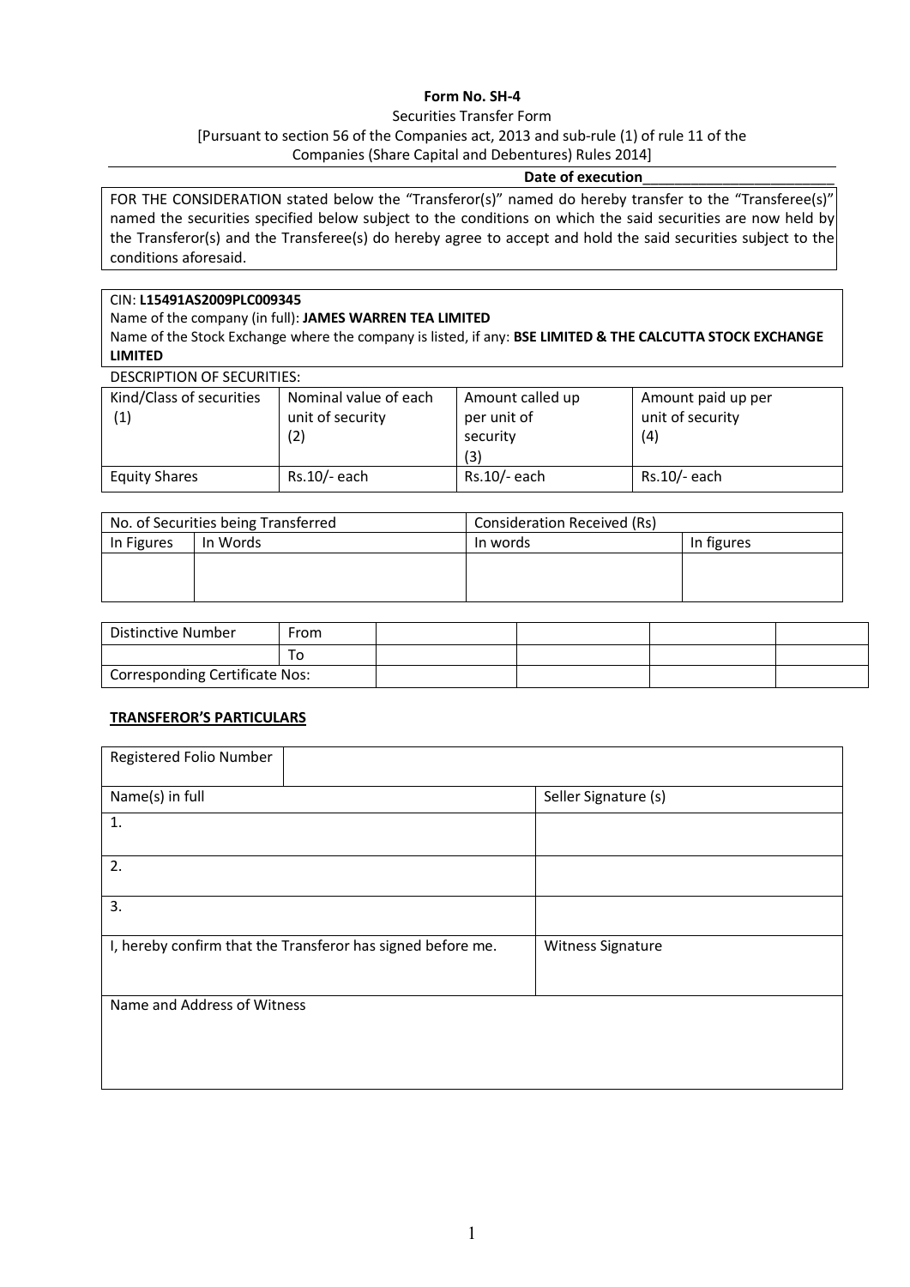# **Form No. SH-4**

# Securities Transfer Form [Pursuant to section 56 of the Companies act, 2013 and sub-rule (1) of rule 11 of the Companies (Share Capital and Debentures) Rules 2014]

### **Date of execution**\_\_\_\_\_\_\_\_\_\_\_\_\_\_\_\_\_\_\_\_\_\_\_\_

FOR THE CONSIDERATION stated below the "Transferor(s)" named do hereby transfer to the "Transferee(s)" named the securities specified below subject to the conditions on which the said securities are now held by the Transferor(s) and the Transferee(s) do hereby agree to accept and hold the said securities subject to the conditions aforesaid.

# CIN: **L15491AS2009PLC009345**

Name of the company (in full): **JAMES WARREN TEA LIMITED** 

Name of the Stock Exchange where the company is listed, if any: **BSE LIMITED & THE CALCUTTA STOCK EXCHANGE LIMITED**

| DESCRIPTION OF SECURITIES:      |                                                  |                                                    |                                               |
|---------------------------------|--------------------------------------------------|----------------------------------------------------|-----------------------------------------------|
| Kind/Class of securities<br>(1) | Nominal value of each<br>unit of security<br>(2) | Amount called up<br>per unit of<br>security<br>(3) | Amount paid up per<br>unit of security<br>(4) |
| <b>Equity Shares</b>            | Rs.10/- each                                     | Rs.10/- each                                       | $Rs.10/-$ each                                |

| No. of Securities being Transferred |          | Consideration Received (Rs) |            |  |
|-------------------------------------|----------|-----------------------------|------------|--|
| In Figures                          | In Words | In words                    | In figures |  |
|                                     |          |                             |            |  |
|                                     |          |                             |            |  |
|                                     |          |                             |            |  |

| Distinctive Number             | From |  |  |
|--------------------------------|------|--|--|
|                                |      |  |  |
| Corresponding Certificate Nos: |      |  |  |

# **TRANSFEROR'S PARTICULARS**

| Registered Folio Number                                     |                      |
|-------------------------------------------------------------|----------------------|
| Name(s) in full                                             | Seller Signature (s) |
| 1.                                                          |                      |
| 2.                                                          |                      |
| 3.                                                          |                      |
| I, hereby confirm that the Transferor has signed before me. | Witness Signature    |
| Name and Address of Witness                                 |                      |